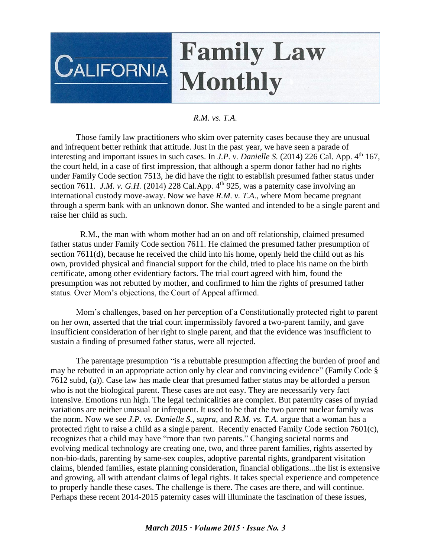## **Family Law CALIFORNIA Monthly**

## *R.M. vs. T.A.*

Those family law practitioners who skim over paternity cases because they are unusual and infrequent better rethink that attitude. Just in the past year, we have seen a parade of interesting and important issues in such cases. In *J.P. v. Danielle S.* (2014) 226 Cal. App. 4<sup>th</sup> 167, the court held, in a case of first impression, that although a sperm donor father had no rights under Family Code section 7513, he did have the right to establish presumed father status under section 7611. *J.M. v. G.H.* (2014) 228 Cal.App.  $4^{\text{th}}$  925, was a paternity case involving an international custody move-away. Now we have *R.M. v. T.A.*, where Mom became pregnant through a sperm bank with an unknown donor. She wanted and intended to be a single parent and raise her child as such.

 R.M., the man with whom mother had an on and off relationship, claimed presumed father status under Family Code section 7611. He claimed the presumed father presumption of section 7611(d), because he received the child into his home, openly held the child out as his own, provided physical and financial support for the child, tried to place his name on the birth certificate, among other evidentiary factors. The trial court agreed with him, found the presumption was not rebutted by mother, and confirmed to him the rights of presumed father status. Over Mom's objections, the Court of Appeal affirmed.

Mom's challenges, based on her perception of a Constitutionally protected right to parent on her own, asserted that the trial court impermissibly favored a two-parent family, and gave insufficient consideration of her right to single parent, and that the evidence was insufficient to sustain a finding of presumed father status, were all rejected.

The parentage presumption "is a rebuttable presumption affecting the burden of proof and may be rebutted in an appropriate action only by clear and convincing evidence" (Family Code § 7612 subd, (a)). Case law has made clear that presumed father status may be afforded a person who is not the biological parent. These cases are not easy. They are necessarily very fact intensive. Emotions run high. The legal technicalities are complex. But paternity cases of myriad variations are neither unusual or infrequent. It used to be that the two parent nuclear family was the norm. Now we see *J.P. vs. Danielle S., supra*, and *R.M. vs. T.A.* argue that a woman has a protected right to raise a child as a single parent. Recently enacted Family Code section 7601(c), recognizes that a child may have "more than two parents." Changing societal norms and evolving medical technology are creating one, two, and three parent families, rights asserted by non-bio-dads, parenting by same-sex couples, adoptive parental rights, grandparent visitation claims, blended families, estate planning consideration, financial obligations...the list is extensive and growing, all with attendant claims of legal rights. It takes special experience and competence to properly handle these cases. The challenge is there. The cases are there, and will continue. Perhaps these recent 2014-2015 paternity cases will illuminate the fascination of these issues,